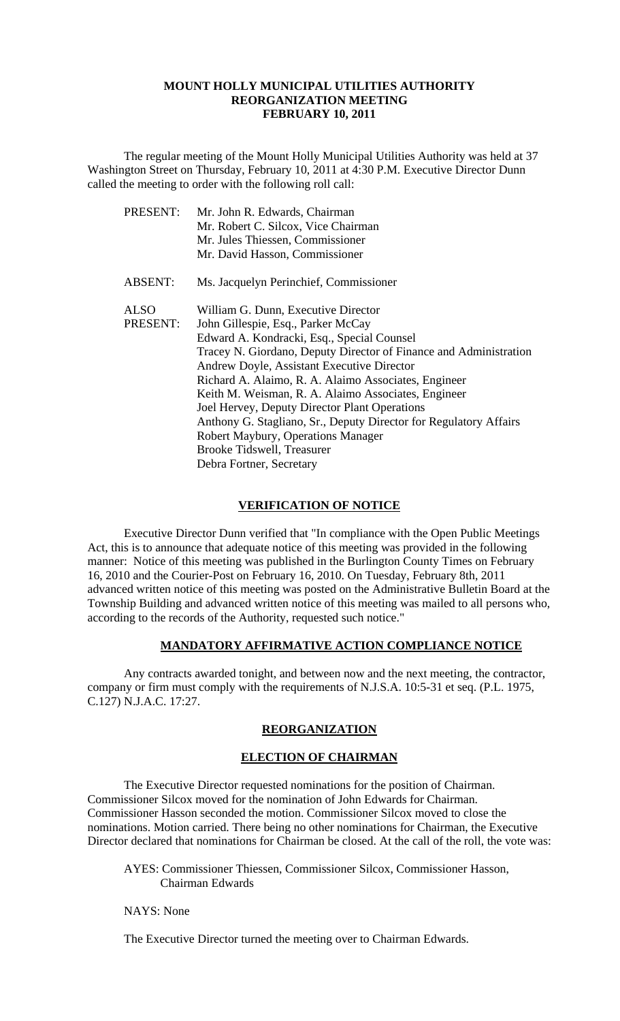### **MOUNT HOLLY MUNICIPAL UTILITIES AUTHORITY REORGANIZATION MEETING FEBRUARY 10, 2011**

 The regular meeting of the Mount Holly Municipal Utilities Authority was held at 37 Washington Street on Thursday, February 10, 2011 at 4:30 P.M. Executive Director Dunn called the meeting to order with the following roll call:

| PRESENT:       | Mr. John R. Edwards, Chairman                                     |
|----------------|-------------------------------------------------------------------|
|                | Mr. Robert C. Silcox, Vice Chairman                               |
|                | Mr. Jules Thiessen, Commissioner                                  |
|                | Mr. David Hasson, Commissioner                                    |
| <b>ABSENT:</b> | Ms. Jacquelyn Perinchief, Commissioner                            |
| <b>ALSO</b>    | William G. Dunn, Executive Director                               |
| PRESENT:       | John Gillespie, Esq., Parker McCay                                |
|                | Edward A. Kondracki, Esq., Special Counsel                        |
|                | Tracey N. Giordano, Deputy Director of Finance and Administration |
|                | Andrew Doyle, Assistant Executive Director                        |
|                | Richard A. Alaimo, R. A. Alaimo Associates, Engineer              |
|                | Keith M. Weisman, R. A. Alaimo Associates, Engineer               |
|                | Joel Hervey, Deputy Director Plant Operations                     |
|                | Anthony G. Stagliano, Sr., Deputy Director for Regulatory Affairs |
|                | Robert Maybury, Operations Manager                                |
|                | <b>Brooke Tidswell, Treasurer</b>                                 |
|                | Debra Fortner, Secretary                                          |

### **VERIFICATION OF NOTICE**

 Executive Director Dunn verified that "In compliance with the Open Public Meetings Act, this is to announce that adequate notice of this meeting was provided in the following manner: Notice of this meeting was published in the Burlington County Times on February 16, 2010 and the Courier-Post on February 16, 2010. On Tuesday, February 8th, 2011 advanced written notice of this meeting was posted on the Administrative Bulletin Board at the Township Building and advanced written notice of this meeting was mailed to all persons who, according to the records of the Authority, requested such notice."

### **MANDATORY AFFIRMATIVE ACTION COMPLIANCE NOTICE**

 Any contracts awarded tonight, and between now and the next meeting, the contractor, company or firm must comply with the requirements of N.J.S.A. 10:5-31 et seq. (P.L. 1975, C.127) N.J.A.C. 17:27.

# **REORGANIZATION**

#### **ELECTION OF CHAIRMAN**

 The Executive Director requested nominations for the position of Chairman. Commissioner Silcox moved for the nomination of John Edwards for Chairman. Commissioner Hasson seconded the motion. Commissioner Silcox moved to close the nominations. Motion carried. There being no other nominations for Chairman, the Executive Director declared that nominations for Chairman be closed. At the call of the roll, the vote was:

AYES: Commissioner Thiessen, Commissioner Silcox, Commissioner Hasson, Chairman Edwards

NAYS: None

The Executive Director turned the meeting over to Chairman Edwards.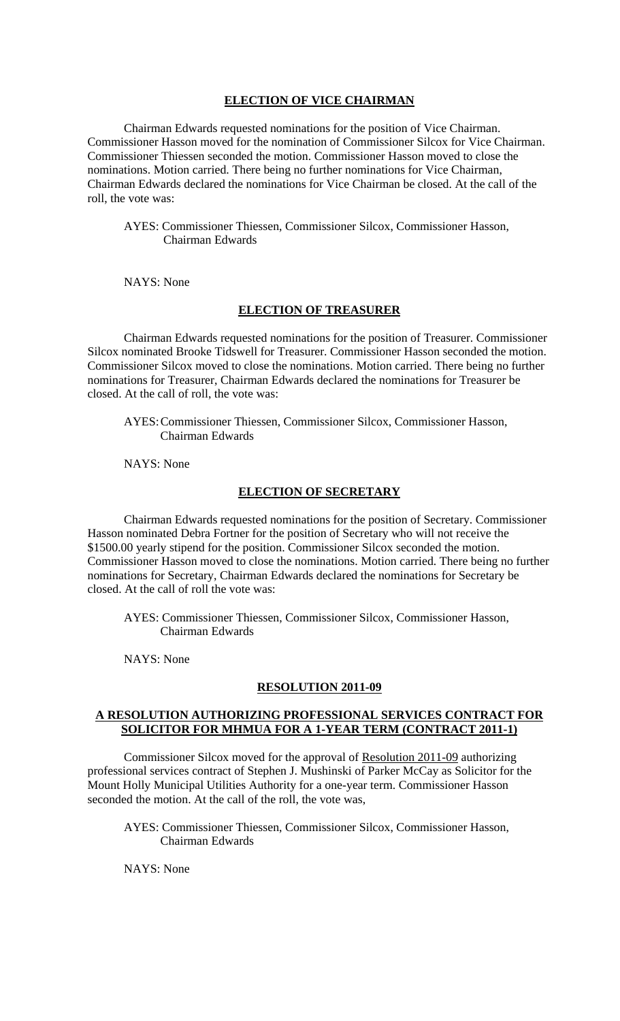# **ELECTION OF VICE CHAIRMAN**

 Chairman Edwards requested nominations for the position of Vice Chairman. Commissioner Hasson moved for the nomination of Commissioner Silcox for Vice Chairman. Commissioner Thiessen seconded the motion. Commissioner Hasson moved to close the nominations. Motion carried. There being no further nominations for Vice Chairman, Chairman Edwards declared the nominations for Vice Chairman be closed. At the call of the roll, the vote was:

 AYES: Commissioner Thiessen, Commissioner Silcox, Commissioner Hasson, Chairman Edwards

NAYS: None

### **ELECTION OF TREASURER**

 Chairman Edwards requested nominations for the position of Treasurer. Commissioner Silcox nominated Brooke Tidswell for Treasurer. Commissioner Hasson seconded the motion. Commissioner Silcox moved to close the nominations. Motion carried. There being no further nominations for Treasurer, Chairman Edwards declared the nominations for Treasurer be closed. At the call of roll, the vote was:

 AYES: Commissioner Thiessen, Commissioner Silcox, Commissioner Hasson, Chairman Edwards

NAYS: None

### **ELECTION OF SECRETARY**

 Chairman Edwards requested nominations for the position of Secretary. Commissioner Hasson nominated Debra Fortner for the position of Secretary who will not receive the \$1500.00 yearly stipend for the position. Commissioner Silcox seconded the motion. Commissioner Hasson moved to close the nominations. Motion carried. There being no further nominations for Secretary, Chairman Edwards declared the nominations for Secretary be closed. At the call of roll the vote was:

 AYES: Commissioner Thiessen, Commissioner Silcox, Commissioner Hasson, Chairman Edwards

NAYS: None

#### **RESOLUTION 2011-09**

### **A RESOLUTION AUTHORIZING PROFESSIONAL SERVICES CONTRACT FOR SOLICITOR FOR MHMUA FOR A 1-YEAR TERM (CONTRACT 2011-1)**

Commissioner Silcox moved for the approval of Resolution 2011-09 authorizing professional services contract of Stephen J. Mushinski of Parker McCay as Solicitor for the Mount Holly Municipal Utilities Authority for a one-year term. Commissioner Hasson seconded the motion. At the call of the roll, the vote was,

 AYES: Commissioner Thiessen, Commissioner Silcox, Commissioner Hasson, Chairman Edwards

NAYS: None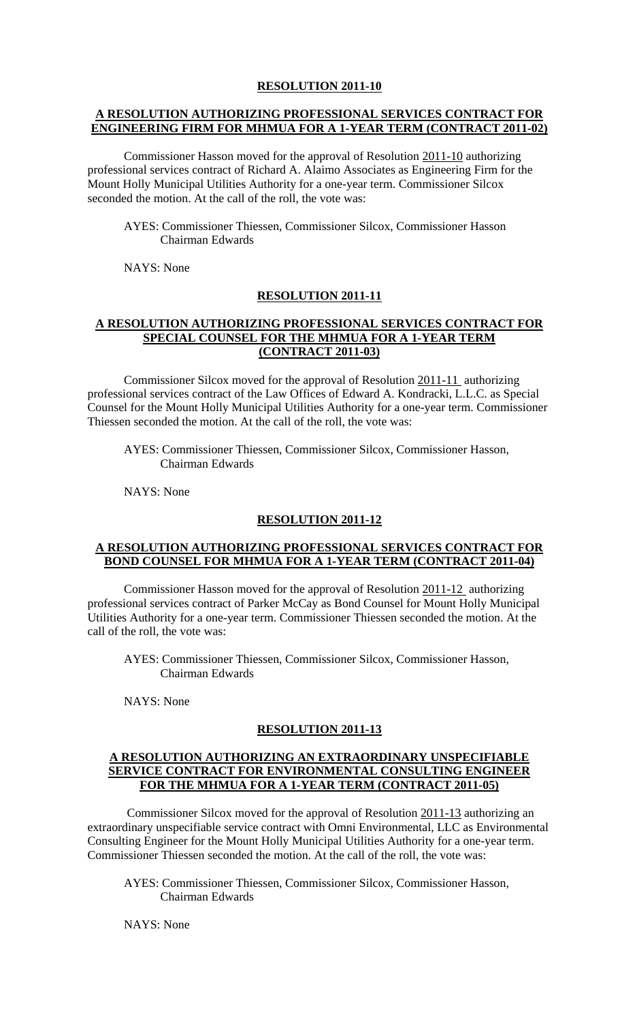## **A RESOLUTION AUTHORIZING PROFESSIONAL SERVICES CONTRACT FOR ENGINEERING FIRM FOR MHMUA FOR A 1-YEAR TERM (CONTRACT 2011-02)**

Commissioner Hasson moved for the approval of Resolution 2011-10 authorizing professional services contract of Richard A. Alaimo Associates as Engineering Firm for the Mount Holly Municipal Utilities Authority for a one-year term. Commissioner Silcox seconded the motion. At the call of the roll, the vote was:

 AYES: Commissioner Thiessen, Commissioner Silcox, Commissioner Hasson Chairman Edwards

NAYS: None

### **RESOLUTION 2011-11**

### **A RESOLUTION AUTHORIZING PROFESSIONAL SERVICES CONTRACT FOR SPECIAL COUNSEL FOR THE MHMUA FOR A 1-YEAR TERM (CONTRACT 2011-03)**

 Commissioner Silcox moved for the approval of Resolution 2011-11 authorizing professional services contract of the Law Offices of Edward A. Kondracki, L.L.C. as Special Counsel for the Mount Holly Municipal Utilities Authority for a one-year term. Commissioner Thiessen seconded the motion. At the call of the roll, the vote was:

 AYES: Commissioner Thiessen, Commissioner Silcox, Commissioner Hasson, Chairman Edwards

NAYS: None

#### **RESOLUTION 2011-12**

### **A RESOLUTION AUTHORIZING PROFESSIONAL SERVICES CONTRACT FOR BOND COUNSEL FOR MHMUA FOR A 1-YEAR TERM (CONTRACT 2011-04)**

 Commissioner Hasson moved for the approval of Resolution 2011-12 authorizing professional services contract of Parker McCay as Bond Counsel for Mount Holly Municipal Utilities Authority for a one-year term. Commissioner Thiessen seconded the motion. At the call of the roll, the vote was:

 AYES: Commissioner Thiessen, Commissioner Silcox, Commissioner Hasson, Chairman Edwards

NAYS: None

#### **RESOLUTION 2011-13**

### **A RESOLUTION AUTHORIZING AN EXTRAORDINARY UNSPECIFIABLE SERVICE CONTRACT FOR ENVIRONMENTAL CONSULTING ENGINEER FOR THE MHMUA FOR A 1-YEAR TERM (CONTRACT 2011-05)**

 Commissioner Silcox moved for the approval of Resolution 2011-13 authorizing an extraordinary unspecifiable service contract with Omni Environmental, LLC as Environmental Consulting Engineer for the Mount Holly Municipal Utilities Authority for a one-year term. Commissioner Thiessen seconded the motion. At the call of the roll, the vote was:

 AYES: Commissioner Thiessen, Commissioner Silcox, Commissioner Hasson, Chairman Edwards

NAYS: None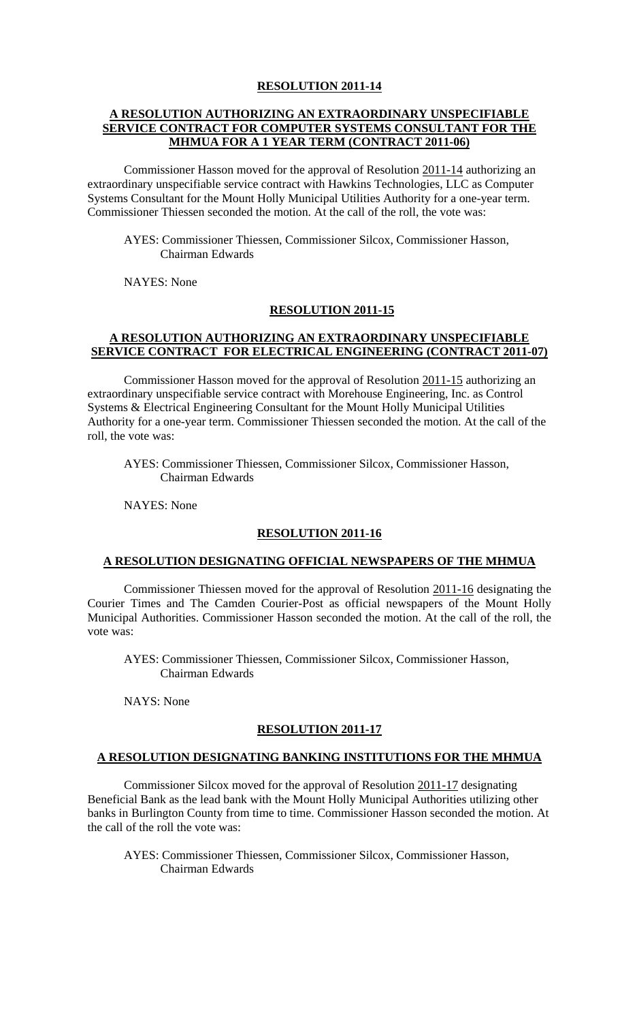# **A RESOLUTION AUTHORIZING AN EXTRAORDINARY UNSPECIFIABLE SERVICE CONTRACT FOR COMPUTER SYSTEMS CONSULTANT FOR THE MHMUA FOR A 1 YEAR TERM (CONTRACT 2011-06)**

 Commissioner Hasson moved for the approval of Resolution 2011-14 authorizing an extraordinary unspecifiable service contract with Hawkins Technologies, LLC as Computer Systems Consultant for the Mount Holly Municipal Utilities Authority for a one-year term. Commissioner Thiessen seconded the motion. At the call of the roll, the vote was:

 AYES: Commissioner Thiessen, Commissioner Silcox, Commissioner Hasson, Chairman Edwards

NAYES: None

### **RESOLUTION 2011-15**

# **A RESOLUTION AUTHORIZING AN EXTRAORDINARY UNSPECIFIABLE SERVICE CONTRACT FOR ELECTRICAL ENGINEERING (CONTRACT 2011-07)**

 Commissioner Hasson moved for the approval of Resolution 2011-15 authorizing an extraordinary unspecifiable service contract with Morehouse Engineering, Inc. as Control Systems & Electrical Engineering Consultant for the Mount Holly Municipal Utilities Authority for a one-year term. Commissioner Thiessen seconded the motion. At the call of the roll, the vote was:

 AYES: Commissioner Thiessen, Commissioner Silcox, Commissioner Hasson, Chairman Edwards

NAYES: None

#### **RESOLUTION 2011-16**

### **A RESOLUTION DESIGNATING OFFICIAL NEWSPAPERS OF THE MHMUA**

 Commissioner Thiessen moved for the approval of Resolution 2011-16 designating the Courier Times and The Camden Courier-Post as official newspapers of the Mount Holly Municipal Authorities. Commissioner Hasson seconded the motion. At the call of the roll, the vote was:

 AYES: Commissioner Thiessen, Commissioner Silcox, Commissioner Hasson, Chairman Edwards

NAYS: None

#### **RESOLUTION 2011-17**

#### **A RESOLUTION DESIGNATING BANKING INSTITUTIONS FOR THE MHMUA**

 Commissioner Silcox moved for the approval of Resolution 2011-17 designating Beneficial Bank as the lead bank with the Mount Holly Municipal Authorities utilizing other banks in Burlington County from time to time. Commissioner Hasson seconded the motion. At the call of the roll the vote was:

 AYES: Commissioner Thiessen, Commissioner Silcox, Commissioner Hasson, Chairman Edwards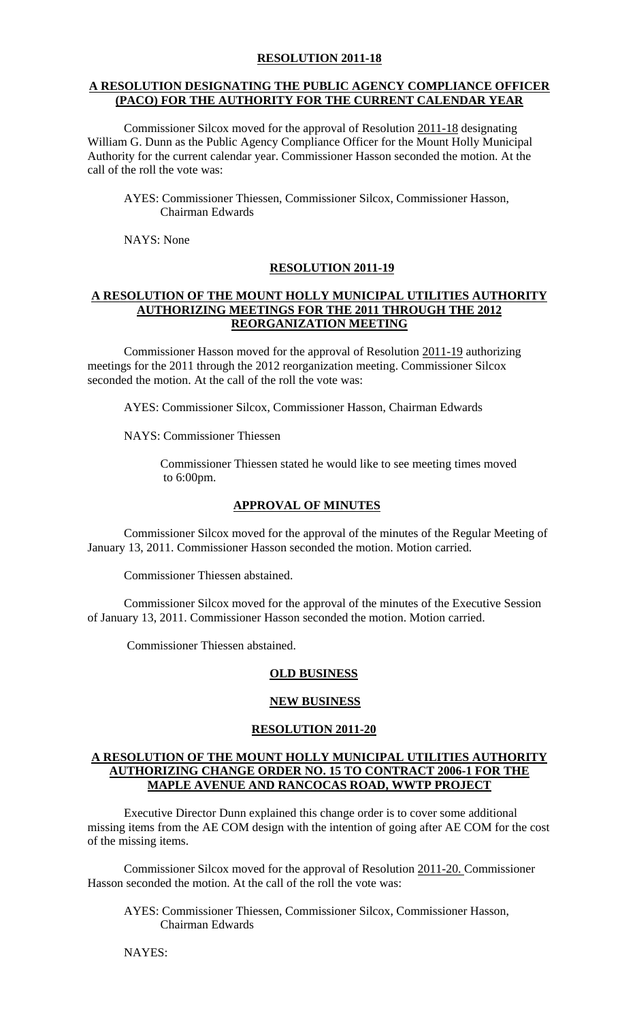# **A RESOLUTION DESIGNATING THE PUBLIC AGENCY COMPLIANCE OFFICER (PACO) FOR THE AUTHORITY FOR THE CURRENT CALENDAR YEAR**

 Commissioner Silcox moved for the approval of Resolution 2011-18 designating William G. Dunn as the Public Agency Compliance Officer for the Mount Holly Municipal Authority for the current calendar year. Commissioner Hasson seconded the motion. At the call of the roll the vote was:

 AYES: Commissioner Thiessen, Commissioner Silcox, Commissioner Hasson, Chairman Edwards

NAYS: None

# **RESOLUTION 2011-19**

# **A RESOLUTION OF THE MOUNT HOLLY MUNICIPAL UTILITIES AUTHORITY AUTHORIZING MEETINGS FOR THE 2011 THROUGH THE 2012 REORGANIZATION MEETING**

 Commissioner Hasson moved for the approval of Resolution 2011-19 authorizing meetings for the 2011 through the 2012 reorganization meeting. Commissioner Silcox seconded the motion. At the call of the roll the vote was:

AYES: Commissioner Silcox, Commissioner Hasson, Chairman Edwards

NAYS: Commissioner Thiessen

Commissioner Thiessen stated he would like to see meeting times moved to 6:00pm.

# **APPROVAL OF MINUTES**

Commissioner Silcox moved for the approval of the minutes of the Regular Meeting of January 13, 2011. Commissioner Hasson seconded the motion. Motion carried.

Commissioner Thiessen abstained.

Commissioner Silcox moved for the approval of the minutes of the Executive Session of January 13, 2011. Commissioner Hasson seconded the motion. Motion carried.

Commissioner Thiessen abstained.

# **OLD BUSINESS**

# **NEW BUSINESS**

# **RESOLUTION 2011-20**

## **A RESOLUTION OF THE MOUNT HOLLY MUNICIPAL UTILITIES AUTHORITY AUTHORIZING CHANGE ORDER NO. 15 TO CONTRACT 2006-1 FOR THE MAPLE AVENUE AND RANCOCAS ROAD, WWTP PROJECT**

Executive Director Dunn explained this change order is to cover some additional missing items from the AE COM design with the intention of going after AE COM for the cost of the missing items.

 Commissioner Silcox moved for the approval of Resolution 2011-20. Commissioner Hasson seconded the motion. At the call of the roll the vote was:

 AYES: Commissioner Thiessen, Commissioner Silcox, Commissioner Hasson, Chairman Edwards

NAYES: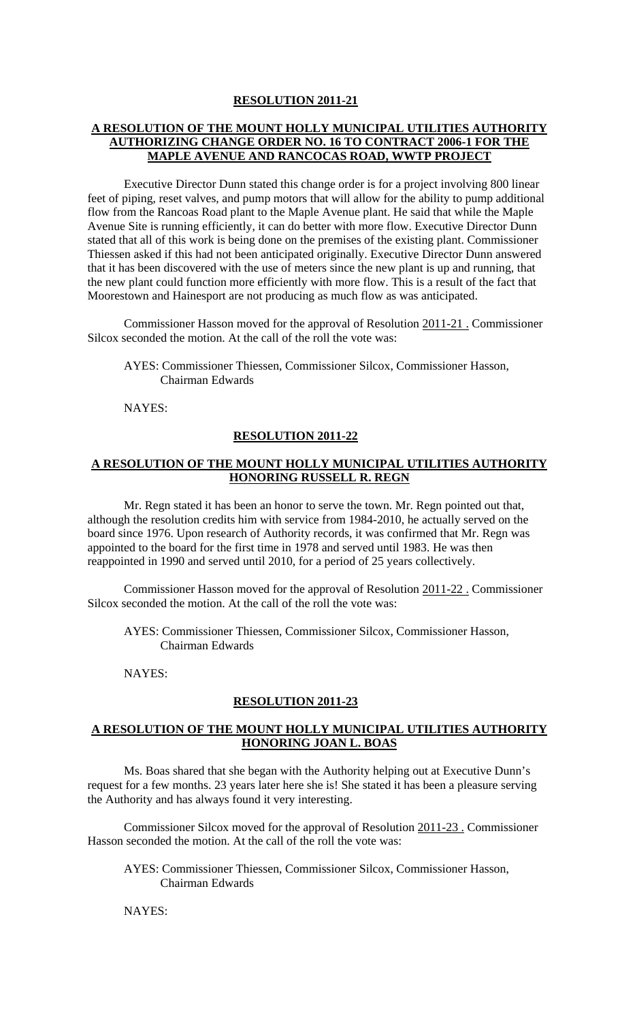# **A RESOLUTION OF THE MOUNT HOLLY MUNICIPAL UTILITIES AUTHORITY AUTHORIZING CHANGE ORDER NO. 16 TO CONTRACT 2006-1 FOR THE MAPLE AVENUE AND RANCOCAS ROAD, WWTP PROJECT**

 Executive Director Dunn stated this change order is for a project involving 800 linear feet of piping, reset valves, and pump motors that will allow for the ability to pump additional flow from the Rancoas Road plant to the Maple Avenue plant. He said that while the Maple Avenue Site is running efficiently, it can do better with more flow. Executive Director Dunn stated that all of this work is being done on the premises of the existing plant. Commissioner Thiessen asked if this had not been anticipated originally. Executive Director Dunn answered that it has been discovered with the use of meters since the new plant is up and running, that the new plant could function more efficiently with more flow. This is a result of the fact that Moorestown and Hainesport are not producing as much flow as was anticipated.

 Commissioner Hasson moved for the approval of Resolution 2011-21 . Commissioner Silcox seconded the motion. At the call of the roll the vote was:

 AYES: Commissioner Thiessen, Commissioner Silcox, Commissioner Hasson, Chairman Edwards

NAYES:

#### **RESOLUTION 2011-22**

## **A RESOLUTION OF THE MOUNT HOLLY MUNICIPAL UTILITIES AUTHORITY HONORING RUSSELL R. REGN**

 Mr. Regn stated it has been an honor to serve the town. Mr. Regn pointed out that, although the resolution credits him with service from 1984-2010, he actually served on the board since 1976. Upon research of Authority records, it was confirmed that Mr. Regn was appointed to the board for the first time in 1978 and served until 1983. He was then reappointed in 1990 and served until 2010, for a period of 25 years collectively.

 Commissioner Hasson moved for the approval of Resolution 2011-22 . Commissioner Silcox seconded the motion. At the call of the roll the vote was:

 AYES: Commissioner Thiessen, Commissioner Silcox, Commissioner Hasson, Chairman Edwards

NAYES:

#### **RESOLUTION 2011-23**

## **A RESOLUTION OF THE MOUNT HOLLY MUNICIPAL UTILITIES AUTHORITY HONORING JOAN L. BOAS**

 Ms. Boas shared that she began with the Authority helping out at Executive Dunn's request for a few months. 23 years later here she is! She stated it has been a pleasure serving the Authority and has always found it very interesting.

 Commissioner Silcox moved for the approval of Resolution 2011-23 . Commissioner Hasson seconded the motion. At the call of the roll the vote was:

 AYES: Commissioner Thiessen, Commissioner Silcox, Commissioner Hasson, Chairman Edwards

NAYES: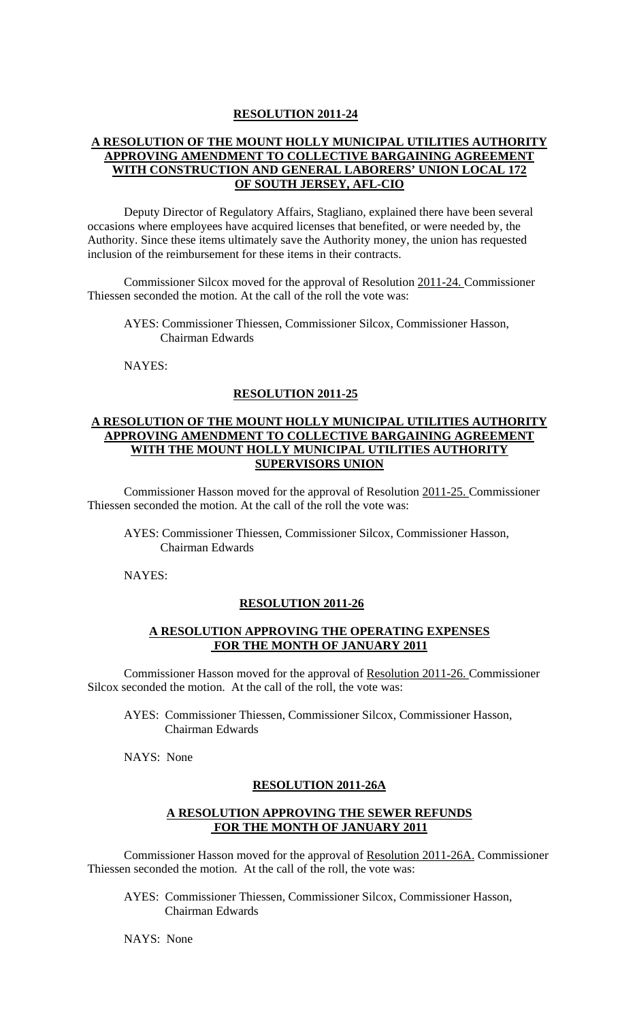# **A RESOLUTION OF THE MOUNT HOLLY MUNICIPAL UTILITIES AUTHORITY APPROVING AMENDMENT TO COLLECTIVE BARGAINING AGREEMENT WITH CONSTRUCTION AND GENERAL LABORERS' UNION LOCAL 172 OF SOUTH JERSEY, AFL-CIO**

 Deputy Director of Regulatory Affairs, Stagliano, explained there have been several occasions where employees have acquired licenses that benefited, or were needed by, the Authority. Since these items ultimately save the Authority money, the union has requested inclusion of the reimbursement for these items in their contracts.

 Commissioner Silcox moved for the approval of Resolution 2011-24. Commissioner Thiessen seconded the motion. At the call of the roll the vote was:

 AYES: Commissioner Thiessen, Commissioner Silcox, Commissioner Hasson, Chairman Edwards

NAYES:

#### **RESOLUTION 2011-25**

# **A RESOLUTION OF THE MOUNT HOLLY MUNICIPAL UTILITIES AUTHORITY APPROVING AMENDMENT TO COLLECTIVE BARGAINING AGREEMENT WITH THE MOUNT HOLLY MUNICIPAL UTILITIES AUTHORITY SUPERVISORS UNION**

 Commissioner Hasson moved for the approval of Resolution 2011-25. Commissioner Thiessen seconded the motion. At the call of the roll the vote was:

 AYES: Commissioner Thiessen, Commissioner Silcox, Commissioner Hasson, Chairman Edwards

NAYES:

## **RESOLUTION 2011-26**

# **A RESOLUTION APPROVING THE OPERATING EXPENSES FOR THE MONTH OF JANUARY 2011**

Commissioner Hasson moved for the approval of Resolution 2011-26. Commissioner Silcox seconded the motion. At the call of the roll, the vote was:

AYES: Commissioner Thiessen, Commissioner Silcox, Commissioner Hasson, Chairman Edwards

NAYS: None

#### **RESOLUTION 2011-26A**

### **A RESOLUTION APPROVING THE SEWER REFUNDS FOR THE MONTH OF JANUARY 2011**

Commissioner Hasson moved for the approval of Resolution 2011-26A. Commissioner Thiessen seconded the motion. At the call of the roll, the vote was:

AYES: Commissioner Thiessen, Commissioner Silcox, Commissioner Hasson, Chairman Edwards

NAYS: None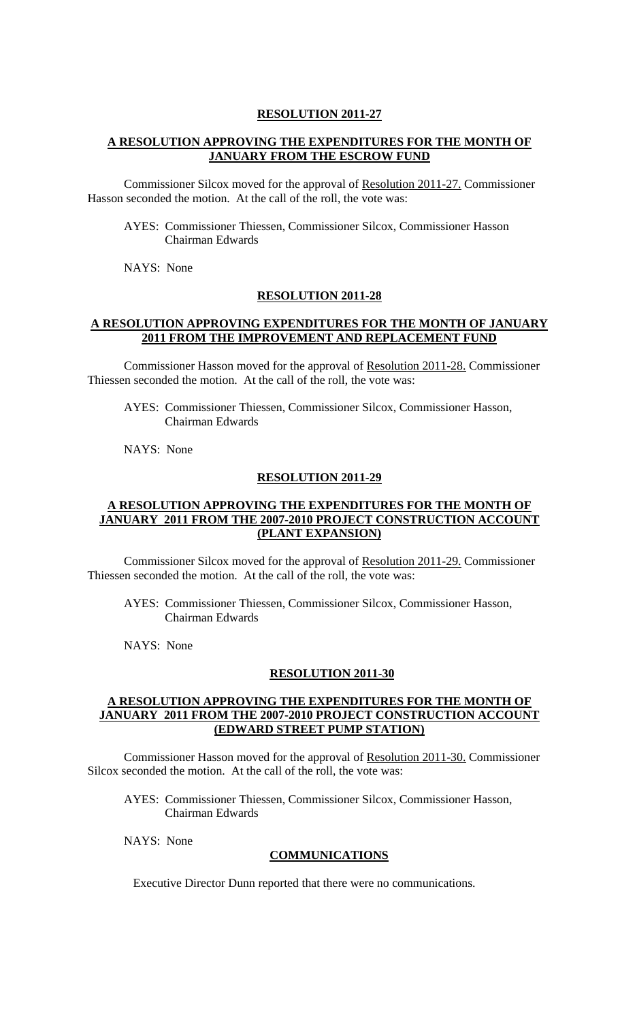# **A RESOLUTION APPROVING THE EXPENDITURES FOR THE MONTH OF JANUARY FROM THE ESCROW FUND**

Commissioner Silcox moved for the approval of Resolution 2011-27. Commissioner Hasson seconded the motion. At the call of the roll, the vote was:

AYES: Commissioner Thiessen, Commissioner Silcox, Commissioner Hasson Chairman Edwards

NAYS: None

#### **RESOLUTION 2011-28**

#### **A RESOLUTION APPROVING EXPENDITURES FOR THE MONTH OF JANUARY 2011 FROM THE IMPROVEMENT AND REPLACEMENT FUND**

Commissioner Hasson moved for the approval of Resolution 2011-28. Commissioner Thiessen seconded the motion. At the call of the roll, the vote was:

AYES: Commissioner Thiessen, Commissioner Silcox, Commissioner Hasson, Chairman Edwards

NAYS: None

#### **RESOLUTION 2011-29**

# **A RESOLUTION APPROVING THE EXPENDITURES FOR THE MONTH OF JANUARY 2011 FROM THE 2007-2010 PROJECT CONSTRUCTION ACCOUNT (PLANT EXPANSION)**

Commissioner Silcox moved for the approval of Resolution 2011-29. Commissioner Thiessen seconded the motion. At the call of the roll, the vote was:

AYES: Commissioner Thiessen, Commissioner Silcox, Commissioner Hasson, Chairman Edwards

NAYS: None

#### **RESOLUTION 2011-30**

# **A RESOLUTION APPROVING THE EXPENDITURES FOR THE MONTH OF JANUARY 2011 FROM THE 2007-2010 PROJECT CONSTRUCTION ACCOUNT (EDWARD STREET PUMP STATION)**

Commissioner Hasson moved for the approval of Resolution 2011-30. Commissioner Silcox seconded the motion. At the call of the roll, the vote was:

AYES: Commissioner Thiessen, Commissioner Silcox, Commissioner Hasson, Chairman Edwards

NAYS: None

#### **COMMUNICATIONS**

Executive Director Dunn reported that there were no communications.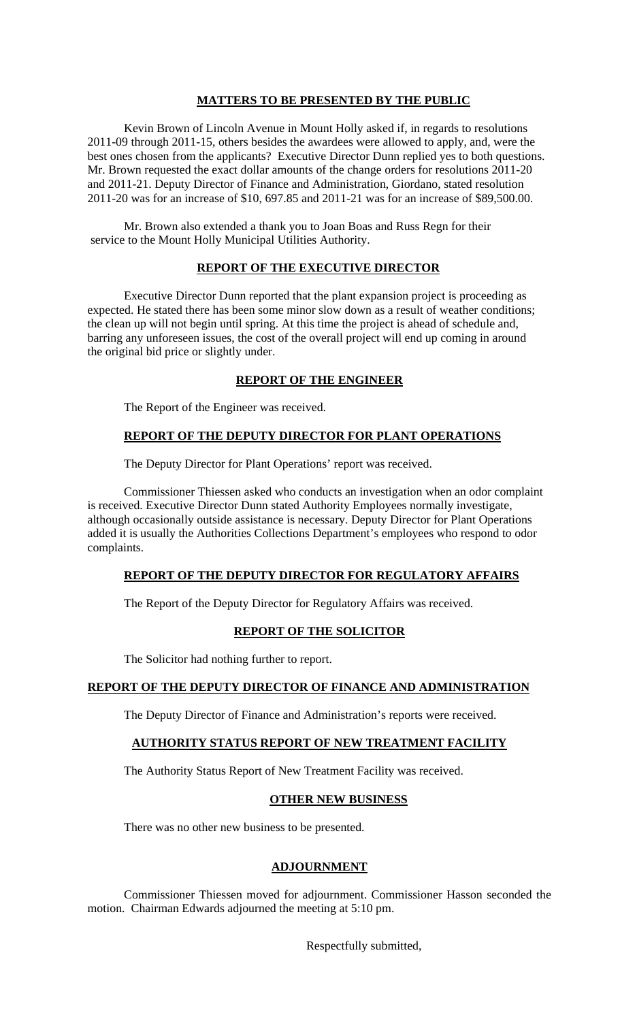### **MATTERS TO BE PRESENTED BY THE PUBLIC**

 Kevin Brown of Lincoln Avenue in Mount Holly asked if, in regards to resolutions 2011-09 through 2011-15, others besides the awardees were allowed to apply, and, were the best ones chosen from the applicants? Executive Director Dunn replied yes to both questions. Mr. Brown requested the exact dollar amounts of the change orders for resolutions 2011-20 and 2011-21. Deputy Director of Finance and Administration, Giordano, stated resolution 2011-20 was for an increase of \$10, 697.85 and 2011-21 was for an increase of \$89,500.00.

 Mr. Brown also extended a thank you to Joan Boas and Russ Regn for their service to the Mount Holly Municipal Utilities Authority.

# **REPORT OF THE EXECUTIVE DIRECTOR**

Executive Director Dunn reported that the plant expansion project is proceeding as expected. He stated there has been some minor slow down as a result of weather conditions; the clean up will not begin until spring. At this time the project is ahead of schedule and, barring any unforeseen issues, the cost of the overall project will end up coming in around the original bid price or slightly under.

# **REPORT OF THE ENGINEER**

The Report of the Engineer was received.

### **REPORT OF THE DEPUTY DIRECTOR FOR PLANT OPERATIONS**

The Deputy Director for Plant Operations' report was received.

 Commissioner Thiessen asked who conducts an investigation when an odor complaint is received. Executive Director Dunn stated Authority Employees normally investigate, although occasionally outside assistance is necessary. Deputy Director for Plant Operations added it is usually the Authorities Collections Department's employees who respond to odor complaints.

### **REPORT OF THE DEPUTY DIRECTOR FOR REGULATORY AFFAIRS**

The Report of the Deputy Director for Regulatory Affairs was received.

# **REPORT OF THE SOLICITOR**

The Solicitor had nothing further to report.

#### **REPORT OF THE DEPUTY DIRECTOR OF FINANCE AND ADMINISTRATION**

The Deputy Director of Finance and Administration's reports were received.

# **AUTHORITY STATUS REPORT OF NEW TREATMENT FACILITY**

The Authority Status Report of New Treatment Facility was received.

# **OTHER NEW BUSINESS**

There was no other new business to be presented.

### **ADJOURNMENT**

 Commissioner Thiessen moved for adjournment. Commissioner Hasson seconded the motion. Chairman Edwards adjourned the meeting at 5:10 pm.

Respectfully submitted,